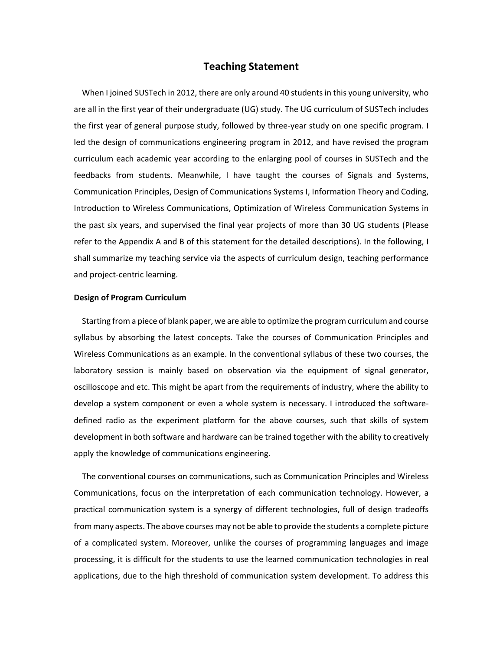# **Teaching Statement**

 When I joined SUSTech in 2012, there are only around 40 students in this young university, who are all in the first year of their undergraduate (UG) study. The UG curriculum of SUSTech includes the first year of general purpose study, followed by three-year study on one specific program. I led the design of communications engineering program in 2012, and have revised the program curriculum each academic year according to the enlarging pool of courses in SUSTech and the feedbacks from students. Meanwhile, I have taught the courses of Signals and Systems, Communication Principles, Design of Communications Systems I, Information Theory and Coding, Introduction to Wireless Communications, Optimization of Wireless Communication Systems in the past six years, and supervised the final year projects of more than 30 UG students (Please refer to the Appendix A and B of this statement for the detailed descriptions). In the following, I shall summarize my teaching service via the aspects of curriculum design, teaching performance and project-centric learning.

## **Design of Program Curriculum**

 Starting from a piece of blank paper, we are able to optimize the program curriculum and course syllabus by absorbing the latest concepts. Take the courses of Communication Principles and Wireless Communications as an example. In the conventional syllabus of these two courses, the laboratory session is mainly based on observation via the equipment of signal generator, oscilloscope and etc. This might be apart from the requirements of industry, where the ability to develop a system component or even a whole system is necessary. I introduced the softwaredefined radio as the experiment platform for the above courses, such that skills of system development in both software and hardware can be trained together with the ability to creatively apply the knowledge of communications engineering.

The conventional courses on communications, such as Communication Principles and Wireless Communications, focus on the interpretation of each communication technology. However, a practical communication system is a synergy of different technologies, full of design tradeoffs from many aspects. The above courses may not be able to provide the students a complete picture of a complicated system. Moreover, unlike the courses of programming languages and image processing, it is difficult for the students to use the learned communication technologies in real applications, due to the high threshold of communication system development. To address this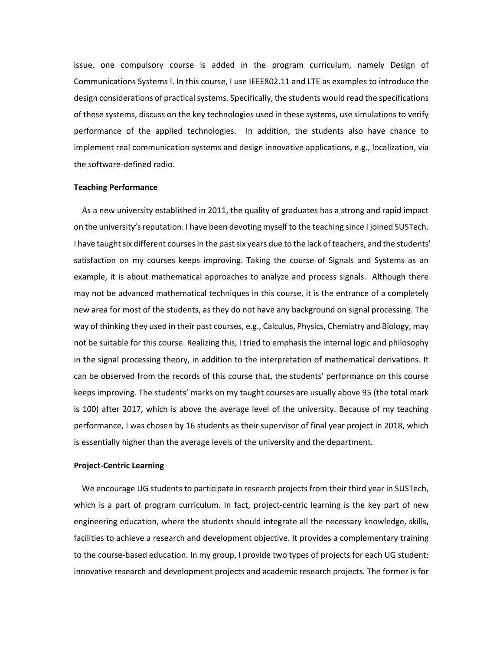issue, one compulsory course is added in the program curriculum, namely Design of Communications Systems I. In this course, I use IEEE802.11 and LTE as examples to introduce the design considerations of practical systems. Specifically, the students would read the specifications of these systems, discuss on the key technologies used in these systems, use simulations to verify performance of the applied technologies. In addition, the students also have chance to implement real communication systems and design innovative applications, e.g., localization, via the software-defined radio.

#### **Teaching Performance**

As a new university established in 2011, the quality of graduates has a strong and rapid impact on the university's reputation. I have been devoting myself to the teaching since I joined SUSTech. I have taught six different courses in the past six years due to the lack of teachers, and the students' satisfaction on my courses keeps improving. Taking the course of Signals and Systems as an example, it is about mathematical approaches to analyze and process signals. Although there may not be advanced mathematical techniques in this course, it is the entrance of a completely new area for most of the students, as they do not have any background on signal processing. The way of thinking they used in their past courses, e.g., Calculus, Physics, Chemistry and Biology, may not be suitable for this course. Realizing this, I tried to emphasis the internal logic and philosophy in the signal processing theory, in addition to the interpretation of mathematical derivations. It can be observed from the records of this course that, the students' performance on this course keeps improving. The students' marks on my taught courses are usually above 95 (the total mark is 100) after 2017, which is above the average level of the university. Because of my teaching performance, I was chosen by 16 students as their supervisor of final year project in 2018, which is essentially higher than the average levels of the university and the department.

#### **Project-Centric Learning**

We encourage UG students to participate in research projects from their third year in SUSTech, which is a part of program curriculum. In fact, project-centric learning is the key part of new engineering education, where the students should integrate all the necessary knowledge, skills, facilities to achieve a research and development objective. It provides a complementary training to the course-based education. In my group, I provide two types of projects for each UG student: innovative research and development projects and academic research projects. The former is for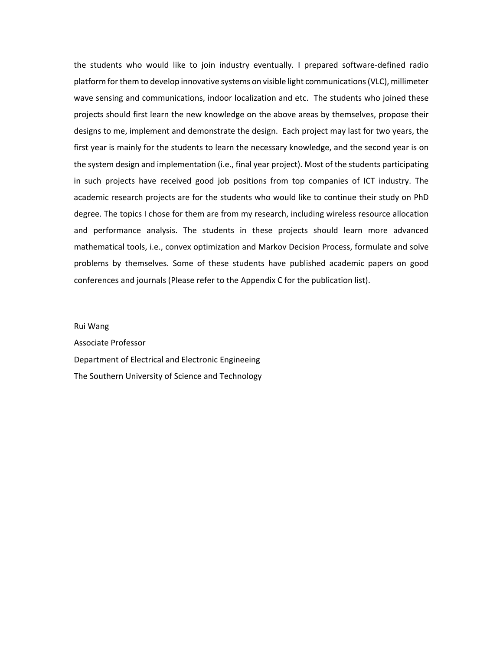the students who would like to join industry eventually. I prepared software-defined radio platform for them to develop innovative systems on visible light communications(VLC), millimeter wave sensing and communications, indoor localization and etc. The students who joined these projects should first learn the new knowledge on the above areas by themselves, propose their designs to me, implement and demonstrate the design. Each project may last for two years, the first year is mainly for the students to learn the necessary knowledge, and the second year is on the system design and implementation (i.e., final year project). Most of the students participating in such projects have received good job positions from top companies of ICT industry. The academic research projects are for the students who would like to continue their study on PhD degree. The topics I chose for them are from my research, including wireless resource allocation and performance analysis. The students in these projects should learn more advanced mathematical tools, i.e., convex optimization and Markov Decision Process, formulate and solve problems by themselves. Some of these students have published academic papers on good conferences and journals (Please refer to the Appendix C for the publication list).

Rui Wang

Associate Professor Department of Electrical and Electronic Engineeing The Southern University of Science and Technology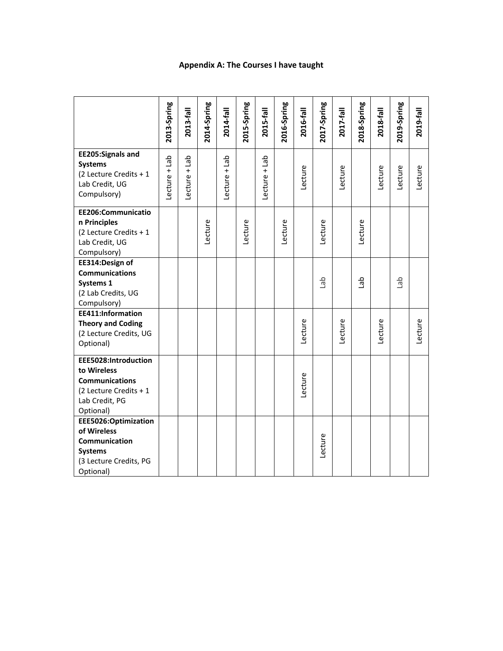## **Appendix A: The Course s I have taught**

|                                          | 2013-Spring     | 2013-fall       | 2014-Spring | 2014-fall       | 2015-Spring | 2015-fall       | 2016-Spring | 2016-fall | 2017-Spring | 2017-fall | 2018-Spring | 2018-fall | 2019-Spring | 2019-fall |
|------------------------------------------|-----------------|-----------------|-------------|-----------------|-------------|-----------------|-------------|-----------|-------------|-----------|-------------|-----------|-------------|-----------|
|                                          |                 |                 |             |                 |             |                 |             |           |             |           |             |           |             |           |
| <b>EE205:Signals and</b>                 |                 |                 |             |                 |             |                 |             |           |             |           |             |           |             |           |
| <b>Systems</b>                           | $Lecture + Lab$ | $Lecture + Lab$ |             | $Lecture + Lab$ |             | $Lecture + Lab$ |             |           |             |           |             |           |             |           |
| (2 Lecture Credits + 1<br>Lab Credit, UG |                 |                 |             |                 |             |                 |             | Lecture   |             | Lecture   |             | Lecture   | Lecture     | Lecture   |
| Compulsory)                              |                 |                 |             |                 |             |                 |             |           |             |           |             |           |             |           |
|                                          |                 |                 |             |                 |             |                 |             |           |             |           |             |           |             |           |
| EE206:Communicatio                       |                 |                 |             |                 |             |                 |             |           |             |           |             |           |             |           |
| n Principles                             |                 |                 |             |                 |             |                 |             |           |             |           |             |           |             |           |
| (2 Lecture Credits + 1<br>Lab Credit, UG |                 |                 | Lecture     |                 | Lecture     |                 | Lecture     |           | Lecture     |           | Lecture     |           |             |           |
| Compulsory)                              |                 |                 |             |                 |             |                 |             |           |             |           |             |           |             |           |
| EE314:Design of                          |                 |                 |             |                 |             |                 |             |           |             |           |             |           |             |           |
| <b>Communications</b>                    |                 |                 |             |                 |             |                 |             |           |             |           |             |           |             |           |
| Systems 1                                |                 |                 |             |                 |             |                 |             |           | del         |           | del         |           | del         |           |
| (2 Lab Credits, UG                       |                 |                 |             |                 |             |                 |             |           |             |           |             |           |             |           |
| Compulsory)<br>EE411:Information         |                 |                 |             |                 |             |                 |             |           |             |           |             |           |             |           |
| <b>Theory and Coding</b>                 |                 |                 |             |                 |             |                 |             |           |             |           |             |           |             |           |
| (2 Lecture Credits, UG                   |                 |                 |             |                 |             |                 |             | Lecture   |             | Lecture   |             | Lecture   |             | Lecture   |
| Optional)                                |                 |                 |             |                 |             |                 |             |           |             |           |             |           |             |           |
| EEE5028:Introduction                     |                 |                 |             |                 |             |                 |             |           |             |           |             |           |             |           |
| to Wireless                              |                 |                 |             |                 |             |                 |             |           |             |           |             |           |             |           |
| <b>Communications</b>                    |                 |                 |             |                 |             |                 |             |           |             |           |             |           |             |           |
| (2 Lecture Credits + 1                   |                 |                 |             |                 |             |                 |             | Lecture   |             |           |             |           |             |           |
| Lab Credit, PG                           |                 |                 |             |                 |             |                 |             |           |             |           |             |           |             |           |
| Optional)                                |                 |                 |             |                 |             |                 |             |           |             |           |             |           |             |           |
| EEE5026:Optimization                     |                 |                 |             |                 |             |                 |             |           |             |           |             |           |             |           |
| of Wireless                              |                 |                 |             |                 |             |                 |             |           |             |           |             |           |             |           |
| Communication<br><b>Systems</b>          |                 |                 |             |                 |             |                 |             |           | Lecture     |           |             |           |             |           |
| (3 Lecture Credits, PG                   |                 |                 |             |                 |             |                 |             |           |             |           |             |           |             |           |
| Optional)                                |                 |                 |             |                 |             |                 |             |           |             |           |             |           |             |           |